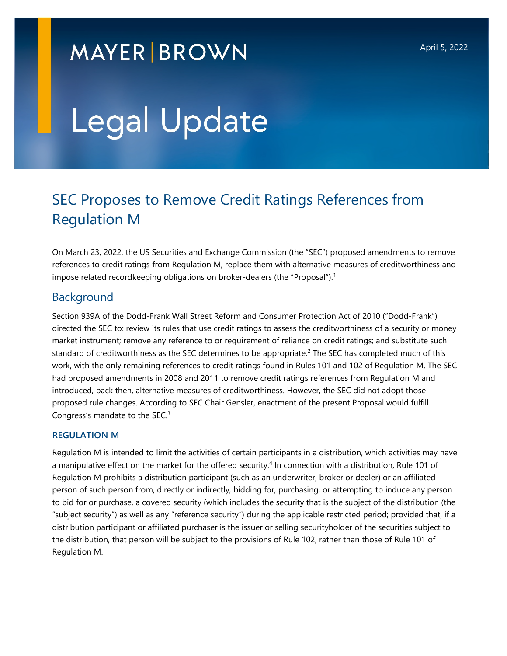## **MAYER BROWN**

# Legal Update

### SEC Proposes to Remove Credit Ratings References from Regulation M

On March 23, 2022, the US Securities and Exchange Commission (the "SEC") proposed amendments to remove references to credit ratings from Regulation M, replace them with alternative [m](#page-5-0)easures of creditworthiness and impose related recordkeeping obligations on broker-dealers (the "Proposal").<sup>1</sup>

#### Background

Section 939A of the Dodd-Frank Wall Street Reform and Consumer Protection Act of 2010 ("Dodd-Frank") directed the SEC to: review its rules that use credit ratings to assess the creditworthiness of a security or money market instrument; remove any reference to or requirement of relianc[e](#page-5-1) on credit ratings; and substitute such standard of creditworthiness as the SEC determines to be appropriate.<sup>2</sup> The SEC has completed much of this work, with the only remaining references to credit ratings found in Rules 101 and 102 of Regulation M. The SEC had proposed amendments in 2008 and 2011 to remove credit ratings references from Regulation M and introduced, back then, alternative measures of creditworthiness. However, the SEC did not adopt those proposed rule changes. Accordi[ng](#page-5-2) to SEC Chair Gensler, enactment of the present Proposal would fulfill Congress's mandate to the SEC.<sup>3</sup>

#### **REGULATION M**

Regulation M is intended to limit the activities of certain pa[rti](#page-5-3)cipants in a distribution, which activities may have a manipulative effect on the market for the offered security.<sup>4</sup> In connection with a distribution, Rule 101 of Regulation M prohibits a distribution participant (such as an underwriter, broker or dealer) or an affiliated person of such person from, directly or indirectly, bidding for, purchasing, or attempting to induce any person to bid for or purchase, a covered security (which includes the security that is the subject of the distribution (the "subject security") as well as any "reference security") during the applicable restricted period; provided that, if a distribution participant or affiliated purchaser is the issuer or selling securityholder of the securities subject to the distribution, that person will be subject to the provisions of Rule 102, rather than those of Rule 101 of Regulation M.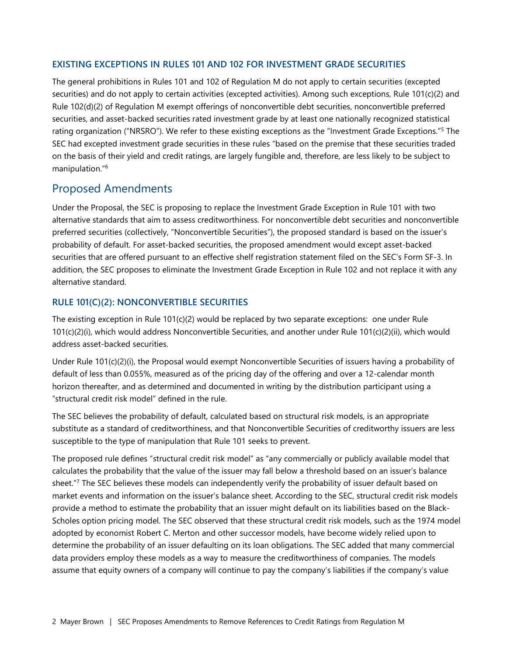#### **EXISTING EXCEPTIONS IN RULES 101 AND 102 FOR INVESTMENT GRADE SECURITIES**

The general prohibitions in Rules 101 and 102 of Regulation M do not apply to certain securities (excepted securities) and do not apply to certain activities (excepted activities). Among such exceptions, Rule 101(c)(2) and Rule 102(d)(2) of Regulation M exempt offerings of nonconvertible debt securities, nonconvertible preferred securities, and asset-backed securities rated investment grade by at least one nationally recognized statisti[ca](#page-5-4)l rating organization ("NRSRO"). We refer to these existing exceptions as the "Investment Grade Exceptions."<sup>5</sup> The SEC had excepted investment grade securities in these rules "based on the premise that these securities traded on the basis o[f t](#page-5-5)heir yield and credit ratings, are largely fungible and, therefore, are less likely to be subject to manipulation."<sup>6</sup>

#### Proposed Amendments

Under the Proposal, the SEC is proposing to replace the Investment Grade Exception in Rule 101 with two alternative standards that aim to assess creditworthiness. For nonconvertible debt securities and nonconvertible preferred securities (collectively, "Nonconvertible Securities"), the proposed standard is based on the issuer's probability of default. For asset-backed securities, the proposed amendment would except asset-backed securities that are offered pursuant to an effective shelf registration statement filed on the SEC's Form SF-3. In addition, the SEC proposes to eliminate the Investment Grade Exception in Rule 102 and not replace it with any alternative standard.

#### **RULE 101(C)(2): NONCONVERTIBLE SECURITIES**

The existing exception in Rule 101(c)(2) would be replaced by two separate exceptions: one under Rule 101(c)(2)(i), which would address Nonconvertible Securities, and another under Rule 101(c)(2)(ii), which would address asset-backed securities.

Under Rule 101(c)(2)(i), the Proposal would exempt Nonconvertible Securities of issuers having a probability of default of less than 0.055%, measured as of the pricing day of the offering and over a 12-calendar month horizon thereafter, and as determined and documented in writing by the distribution participant using a "structural credit risk model" defined in the rule.

The SEC believes the probability of default, calculated based on structural risk models, is an appropriate substitute as a standard of creditworthiness, and that Nonconvertible Securities of creditworthy issuers are less susceptible to the type of manipulation that Rule 101 seeks to prevent.

The proposed rule defines "structural credit risk model" as "any commercially or publicly available model that calcula[te](#page-5-6)s the probability that the value of the issuer may fall below a threshold based on an issuer's balance sheet."<sup>7</sup> The SEC believes these models can independently verify the probability of issuer default based on market events and information on the issuer's balance sheet. According to the SEC, structural credit risk models provide a method to estimate the probability that an issuer might default on its liabilities based on the Black-Scholes option pricing model. The SEC observed that these structural credit risk models, such as the 1974 model adopted by economist Robert C. Merton and other successor models, have become widely relied upon to determine the probability of an issuer defaulting on its loan obligations. The SEC added that many commercial data providers employ these models as a way to measure the creditworthiness of companies. The models assume that equity owners of a company will continue to pay the company's liabilities if the company's value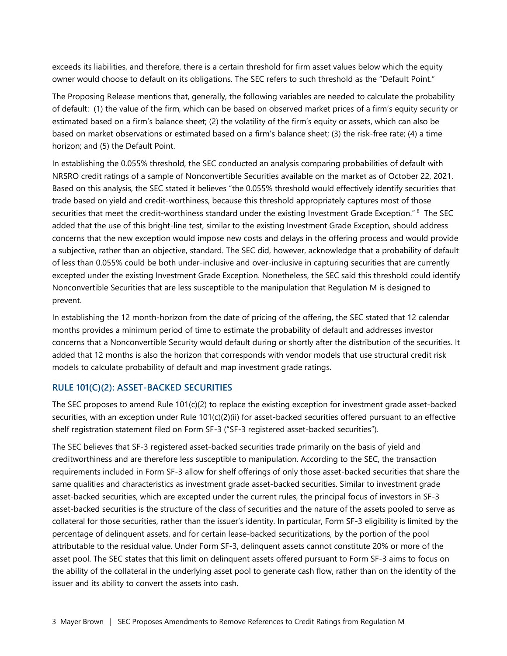exceeds its liabilities, and therefore, there is a certain threshold for firm asset values below which the equity owner would choose to default on its obligations. The SEC refers to such threshold as the "Default Point."

The Proposing Release mentions that, generally, the following variables are needed to calculate the probability of default: (1) the value of the firm, which can be based on observed market prices of a firm's equity security or estimated based on a firm's balance sheet; (2) the volatility of the firm's equity or assets, which can also be based on market observations or estimated based on a firm's balance sheet; (3) the risk-free rate; (4) a time horizon; and (5) the Default Point.

In establishing the 0.055% threshold, the SEC conducted an analysis comparing probabilities of default with NRSRO credit ratings of a sample of Nonconvertible Securities available on the market as of October 22, 2021. Based on this analysis, the SEC stated it believes "the 0.055% threshold would effectively identify securities that trade based on yield and credit-worthiness, because this threshold appropriately captures most of t[ho](#page-5-7)se securities that meet the credit-worthiness standard under the existing Investment Grade Exception."<sup>8</sup> The SEC added that the use of this bright-line test, similar to the existing Investment Grade Exception, should address concerns that the new exception would impose new costs and delays in the offering process and would provide a subjective, rather than an objective, standard. The SEC did, however, acknowledge that a probability of default of less than 0.055% could be both under-inclusive and over-inclusive in capturing securities that are currently excepted under the existing Investment Grade Exception. Nonetheless, the SEC said this threshold could identify Nonconvertible Securities that are less susceptible to the manipulation that Regulation M is designed to prevent.

In establishing the 12 month-horizon from the date of pricing of the offering, the SEC stated that 12 calendar months provides a minimum period of time to estimate the probability of default and addresses investor concerns that a Nonconvertible Security would default during or shortly after the distribution of the securities. It added that 12 months is also the horizon that corresponds with vendor models that use structural credit risk models to calculate probability of default and map investment grade ratings.

#### **RULE 101(C)(2): ASSET-BACKED SECURITIES**

The SEC proposes to amend Rule 101(c)(2) to replace the existing exception for investment grade asset-backed securities, with an exception under Rule 101(c)(2)(ii) for asset-backed securities offered pursuant to an effective shelf registration statement filed on Form SF-3 ("SF-3 registered asset-backed securities").

The SEC believes that SF-3 registered asset-backed securities trade primarily on the basis of yield and creditworthiness and are therefore less susceptible to manipulation. According to the SEC, the transaction requirements included in Form SF-3 allow for shelf offerings of only those asset-backed securities that share the same qualities and characteristics as investment grade asset-backed securities. Similar to investment grade asset-backed securities, which are excepted under the current rules, the principal focus of investors in SF-3 asset-backed securities is the structure of the class of securities and the nature of the assets pooled to serve as collateral for those securities, rather than the issuer's identity. In particular, Form SF-3 eligibility is limited by the percentage of delinquent assets, and for certain lease-backed securitizations, by the portion of the pool attributable to the residual value. Under Form SF-3, delinquent assets cannot constitute 20% or more of the asset pool. The SEC states that this limit on delinquent assets offered pursuant to Form SF-3 aims to focus on the ability of the collateral in the underlying asset pool to generate cash flow, rather than on the identity of the issuer and its ability to convert the assets into cash.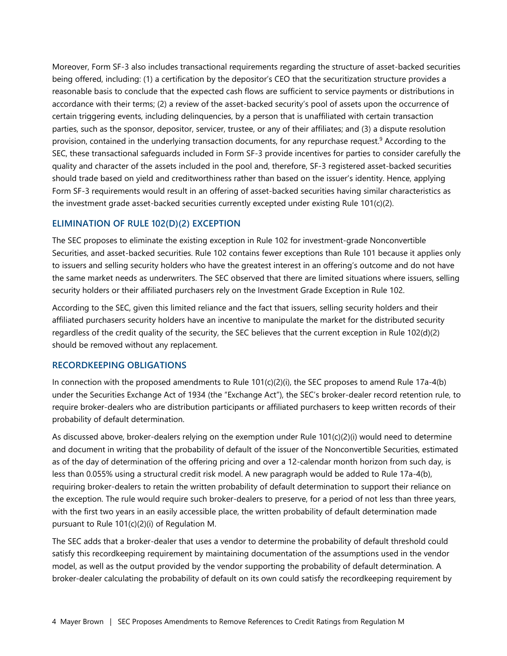Moreover, Form SF-3 also includes transactional requirements regarding the structure of asset-backed securities being offered, including: (1) a certification by the depositor's CEO that the securitization structure provides a reasonable basis to conclude that the expected cash flows are sufficient to service payments or distributions in accordance with their terms; (2) a review of the asset-backed security's pool of assets upon the occurrence of certain triggering events, including delinquencies, by a person that is unaffiliated with certain transaction parties, such as the sponsor, depositor, servicer, trustee, or any of their affiliates; and (3) a [d](#page-5-8)ispute resolution provision, contained in the underlying transaction documents, for any repurchase request.<sup>9</sup> According to the SEC, these transactional safeguards included in Form SF-3 provide incentives for parties to consider carefully the quality and character of the assets included in the pool and, therefore, SF-3 registered asset-backed securities should trade based on yield and creditworthiness rather than based on the issuer's identity. Hence, applying Form SF-3 requirements would result in an offering of asset-backed securities having similar characteristics as the investment grade asset-backed securities currently excepted under existing Rule 101(c)(2).

#### **ELIMINATION OF RULE 102(D)(2) EXCEPTION**

The SEC proposes to eliminate the existing exception in Rule 102 for investment-grade Nonconvertible Securities, and asset-backed securities. Rule 102 contains fewer exceptions than Rule 101 because it applies only to issuers and selling security holders who have the greatest interest in an offering's outcome and do not have the same market needs as underwriters. The SEC observed that there are limited situations where issuers, selling security holders or their affiliated purchasers rely on the Investment Grade Exception in Rule 102.

According to the SEC, given this limited reliance and the fact that issuers, selling security holders and their affiliated purchasers security holders have an incentive to manipulate the market for the distributed security regardless of the credit quality of the security, the SEC believes that the current exception in Rule 102(d)(2) should be removed without any replacement.

#### **RECORDKEEPING OBLIGATIONS**

In connection with the proposed amendments to Rule 101(c)(2)(i), the SEC proposes to amend Rule 17a-4(b) under the Securities Exchange Act of 1934 (the "Exchange Act"), the SEC's broker-dealer record retention rule, to require broker-dealers who are distribution participants or affiliated purchasers to keep written records of their probability of default determination.

As discussed above, broker-dealers relying on the exemption under Rule 101(c)(2)(i) would need to determine and document in writing that the probability of default of the issuer of the Nonconvertible Securities, estimated as of the day of determination of the offering pricing and over a 12-calendar month horizon from such day, is less than 0.055% using a structural credit risk model. A new paragraph would be added to Rule 17a-4(b), requiring broker-dealers to retain the written probability of default determination to support their reliance on the exception. The rule would require such broker-dealers to preserve, for a period of not less than three years, with the first two years in an easily accessible place, the written probability of default determination made pursuant to Rule 101(c)(2)(i) of Regulation M.

The SEC adds that a broker-dealer that uses a vendor to determine the probability of default threshold could satisfy this recordkeeping requirement by maintaining documentation of the assumptions used in the vendor model, as well as the output provided by the vendor supporting the probability of default determination. A broker-dealer calculating the probability of default on its own could satisfy the recordkeeping requirement by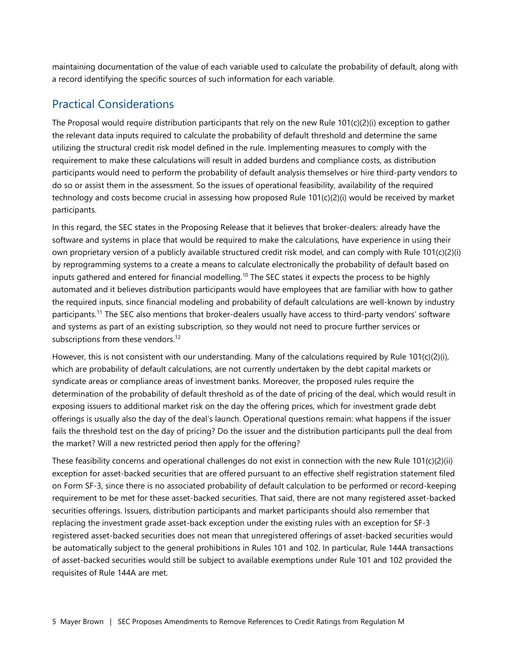maintaining documentation of the value of each variable used to calculate the probability of default, along with a record identifying the specific sources of such information for each variable.

#### Practical Considerations

The Proposal would require distribution participants that rely on the new Rule 101(c)(2)(i) exception to gather the relevant data inputs required to calculate the probability of default threshold and determine the same utilizing the structural credit risk model defined in the rule. Implementing measures to comply with the requirement to make these calculations will result in added burdens and compliance costs, as distribution participants would need to perform the probability of default analysis themselves or hire third-party vendors to do so or assist them in the assessment. So the issues of operational feasibility, availability of the required technology and costs become crucial in assessing how proposed Rule 101(c)(2)(i) would be received by market participants.

In this regard, the SEC states in the Proposing Release that it believes that broker-dealers: already have the software and systems in place that would be required to make the calculations, have experience in using their own proprietary version of a publicly available structured credit risk model, and can comply with Rule 101(c)(2)(i) by reprogramming systems to a create a means to c[alc](#page-5-9)ulate electronically the probability of default based on inputs gathered and entered for financial modelling.<sup>10</sup> The SEC states it expects the process to be highly automated and it believes distribution participants would have employees that are familiar with how to gather the require[d in](#page-5-10)puts, since financial modeling and probability of default calculations are well-known by industry participants.<sup>11</sup> The SEC also mentions that broker-dealers usually have access to third-party vendors' software and systems as part of an existing subscription, so they would not need to procure further services or subscriptions from these vendors.<sup>[12](#page-5-11)</sup>

However, this is not consistent with our understanding. Many of the calculations required by Rule 101(c)(2)(i), which are probability of default calculations, are not currently undertaken by the debt capital markets or syndicate areas or compliance areas of investment banks. Moreover, the proposed rules require the determination of the probability of default threshold as of the date of pricing of the deal, which would result in exposing issuers to additional market risk on the day the offering prices, which for investment grade debt offerings is usually also the day of the deal's launch. Operational questions remain: what happens if the issuer fails the threshold test on the day of pricing? Do the issuer and the distribution participants pull the deal from the market? Will a new restricted period then apply for the offering?

These feasibility concerns and operational challenges do not exist in connection with the new Rule 101(c)(2)(ii) exception for asset-backed securities that are offered pursuant to an effective shelf registration statement filed on Form SF-3, since there is no associated probability of default calculation to be performed or record-keeping requirement to be met for these asset-backed securities. That said, there are not many registered asset-backed securities offerings. Issuers, distribution participants and market participants should also remember that replacing the investment grade asset-back exception under the existing rules with an exception for SF-3 registered asset-backed securities does not mean that unregistered offerings of asset-backed securities would be automatically subject to the general prohibitions in Rules 101 and 102. In particular, Rule 144A transactions of asset-backed securities would still be subject to available exemptions under Rule 101 and 102 provided the requisites of Rule 144A are met.